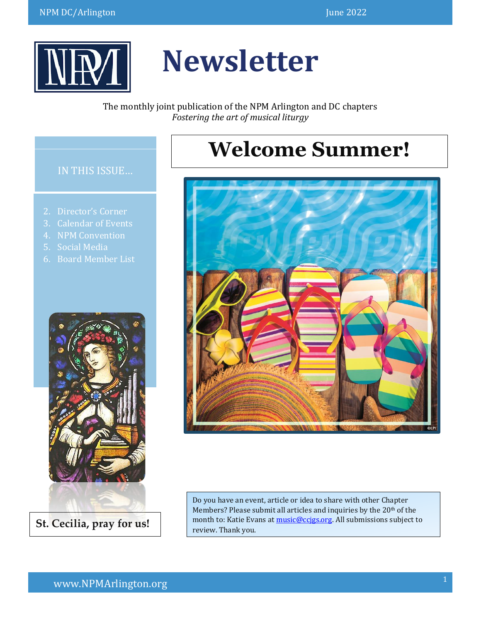

# **Newsletter**

The monthly joint publication of the NPM Arlington and DC chapters *Fostering the art of musical liturgy*

## **Welcome Summer!**



Do you have an event, article or idea to share with other Chapter Members? Please submit all articles and inquiries by the 20<sup>th</sup> of the month to: Katie Evans a[t music@ccjgs.org.](http://music@ccjgs.org/) All submissions subject to review. Thank you.

#### IN THIS ISSUE…

- 
- 3. Calendar of Events
- 4. NPM Convention
- 5. Social Media
- 6. Board Member List



**St. Cecilia, pray for us!**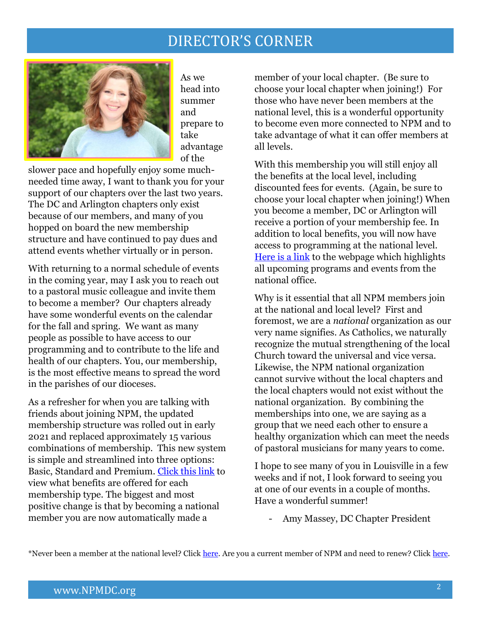### DIRECTOR'S CORNER



As we head into summer and prepare to take advantage of the

slower pace and hopefully enjoy some muchneeded time away, I want to thank you for your support of our chapters over the last two years. The DC and Arlington chapters only exist because of our members, and many of you hopped on board the new membership structure and have continued to pay dues and attend events whether virtually or in person.

With returning to a normal schedule of events in the coming year, may I ask you to reach out to a pastoral music colleague and invite them to become a member? Our chapters already have some wonderful events on the calendar for the fall and spring. We want as many people as possible to have access to our programming and to contribute to the life and health of our chapters. You, our membership, is the most effective means to spread the word in the parishes of our dioceses.

As a refresher for when you are talking with friends about joining NPM, the updated membership structure was rolled out in early 2021 and replaced approximately 15 various combinations of membership. This new system is simple and streamlined into three options: Basic, Standard and Premium. [Click this link](https://npm.org/all-membership-types/) to view what benefits are offered for each membership type. The biggest and most positive change is that by becoming a national member you are now automatically made a

member of your local chapter. (Be sure to choose your local chapter when joining!) For those who have never been members at the national level, this is a wonderful opportunity to become even more connected to NPM and to take advantage of what it can offer members at all levels.

With this membership you will still enjoy all the benefits at the local level, including discounted fees for events. (Again, be sure to choose your local chapter when joining!) When you become a member, DC or Arlington will receive a portion of your membership fee. In addition to local benefits, you will now have access to programming at the national level. [Here is a link](https://npm.org/formation/upcoming-programs-events/) to the webpage which highlights all upcoming programs and events from the national office.

Why is it essential that all NPM members join at the national and local level? First and foremost, we are a *national* organization as our very name signifies. As Catholics, we naturally recognize the mutual strengthening of the local Church toward the universal and vice versa. Likewise, the NPM national organization cannot survive without the local chapters and the local chapters would not exist without the national organization. By combining the memberships into one, we are saying as a group that we need each other to ensure a healthy organization which can meet the needs of pastoral musicians for many years to come.

I hope to see many of you in Louisville in a few weeks and if not, I look forward to seeing you at one of our events in a couple of months. Have a wonderful summer!

- Amy Massey, DC Chapter President

\*Never been a member at the national level? Click [here.](https://www.npmsecure.org/cecilia/new_members.php) Are you a current member of NPM and need to renew? Click [here.](https://www.npmsecure.org/cecilia/members.php)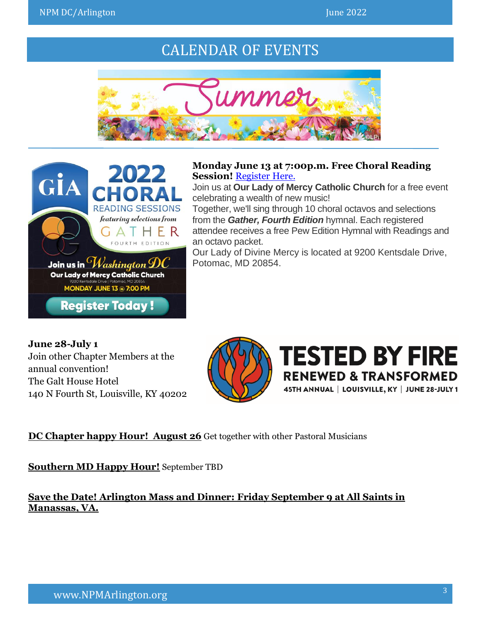### CALENDAR OF EVENTS





**Monday June 13 at 7:00p.m. Free Choral Reading Session! [Register Here.](https://docs.google.com/forms/d/e/1FAIpQLScPoOLWTwgpk2wu-1od6b5z8JuX5Wu7Gb5ZTrvfu_AXaaSASg/viewform)** 

Join us at **Our Lady of Mercy Catholic Church** for a free event celebrating a wealth of new music!

Together, we'll sing through 10 choral octavos and selections from the *Gather, Fourth Edition* hymnal. Each registered attendee receives a free Pew Edition Hymnal with Readings and an octavo packet.

Our Lady of Divine Mercy is located at 9200 Kentsdale Drive, Potomac, MD 20854.

**June 28-July 1** Join other Chapter Members at the annual convention! The Galt House Hotel 140 N Fourth St, Louisville, KY 40202





#### **DC Chapter happy Hour! August 26** Get together with other Pastoral Musicians

**Southern MD Happy Hour!** September TBD

**Save the Date! Arlington Mass and Dinner: Friday September 9 at All Saints in Manassas, VA.**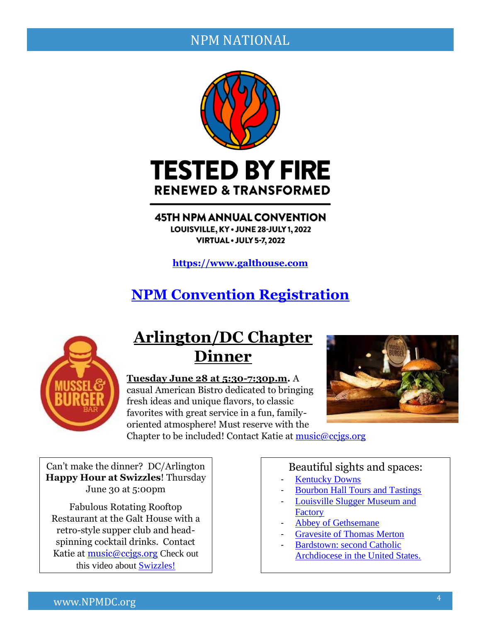#### NPM NATIONAL



**45TH NPM ANNUAL CONVENTION** LOUISVILLE, KY · JUNE 28-JULY 1, 2022 **VIRTUAL • JULY 5-7, 2022** 

**[https://www.galthouse.com](https://www.galthouse.com/)**

### **[NPM Convention Registration](https://npmsecure.org/events/index.php)**



### **Arlington/DC Chapter Dinner**

**Tuesday June 28 at 5:30-7:30p.m.** A casual American Bistro dedicated to bringing fresh ideas and unique flavors, to classic favorites with great service in a fun, familyoriented atmosphere! Must reserve with the



Chapter to be included! Contact Katie at [music@ccjgs.org](mailto:music@ccjgs.org)

Can't make the dinner? DC/Arlington **Happy Hour at Swizzles**! Thursday June 30 at 5:00pm

Fabulous Rotating Rooftop Restaurant at the Galt House with a retro-style supper club and headspinning cocktail drinks. Contact Katie at music@ccigs.org Check out this video about [Swizzles!](https://www.youtube.com/watch?v=atVVtFwIgpo&t=31s)

#### Beautiful sights and spaces:

- **[Kentucky Downs](https://themintkentuckydowns.com/)**
- [Bourbon Hall Tours and Tastings](https://www.bourbonhalltours.com/)
- Louisville Slugger Museum and **[Factory](https://www.sluggermuseum.com/)**
- [Abbey of Gethsemane](https://monks.org/)
- [Gravesite of Thomas Merton](https://www.spiritualtravels.info/spiritual-sites-around-the-world/north-america/kentucky-a-thomas-merton-tour/the-abbey-of-gethsemani/grave/)
- Bardstown: second Catholic [Archdiocese in the United States.](https://saintthomasbardstown.org/history)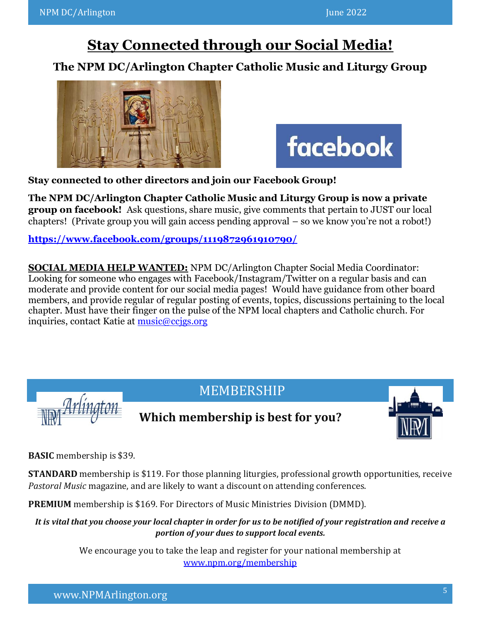### **Stay Connected through our Social Media!**

### **The NPM DC/Arlington Chapter Catholic Music and Liturgy Group**





**Stay connected to other directors and join our Facebook Group!** 

**The NPM DC/Arlington Chapter Catholic Music and Liturgy Group is now a private group on facebook!** Ask questions, share music, give comments that pertain to JUST our local chapters! (Private group you will gain access pending approval – so we know you're not a robot!)

**<https://www.facebook.com/groups/1119872961910790/>**

**SOCIAL MEDIA HELP WANTED:** NPM DC/Arlington Chapter Social Media Coordinator: Looking for someone who engages with Facebook/Instagram/Twitter on a regular basis and can moderate and provide content for our social media pages! Would have guidance from other board members, and provide regular of regular posting of events, topics, discussions pertaining to the local chapter. Must have their finger on the pulse of the NPM local chapters and Catholic church. For inquiries, contact Katie at [music@ccjgs.org](mailto:music@ccjgs.org)



### **Which membership is best for you?**



**BASIC** membership is \$39.

**STANDARD** membership is \$119. For those planning liturgies, professional growth opportunities, receive *Pastoral Music* magazine, and are likely to want a discount on attending conferences.

**PREMIUM** membership is \$169. For Directors of Music Ministries Division (DMMD).

*It is vital that you choose your local chapter in order for us to be notified of your registration and receive a portion of your dues to support local events.*

> We encourage you to take the leap and register for your national membership at [www.npm.org/membership](http://www.npm.org/membership)